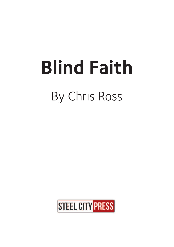# **Blind Faith** By Chris Ross

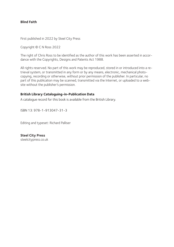## **Blind Faith**

First published in 2022 by Steel City Press

Copyright © C N Ross 2022

The right of Chris Ross to be identified as the author of this work has been asserted in accordance with the Copyrights, Designs and Patents Act 1988.

All rights reserved. No part of this work may be reproduced, stored in or introduced into a retrieval system, or transmitted in any form or by any means, electronic, mechanical photocopying, recording or otherwise, without prior permission of the publisher. In particular, no part of this publication may be scanned, transmitted via the Internet, or uploaded to a website without the publisher's permission.

## **British Library Cataloguing-in-Publication Data**

A catalogue record for this book is available from the British Library.

ISBN 13: 978-1-913047-31-3

Editing and typeset: Richard Palliser

**Steel City Press** steelcitypress.co.uk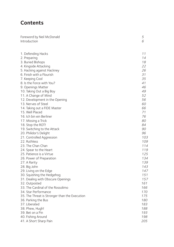# **Contents**

| Foreword by Neil McDonald<br>Introduction        | 5<br>6   |
|--------------------------------------------------|----------|
| 1. Defending Hacks                               | 11       |
| 2. Preparing                                     | 14       |
| 3. Buried Bishops                                | 18       |
| 4. Kingside Attacking                            | 22       |
| 5. Hacking against Hackney                       | 26       |
| 6. Finish with a Flourish                        | 31       |
| 7. Keeping Cool                                  | 35       |
| 8. Is the Force with You?                        | 41       |
| 9. Openings Matter                               | 46       |
| 10. Taking Out a Big Boy                         | 49       |
| 11. A Change of Mind                             | 52       |
| 12. Development in the Opening                   | 56       |
| 13. Nerves of Steel                              | 60       |
| 14. Taking out a FIDE Master                     | 66       |
| 15. Well Placed                                  | 71<br>76 |
| 16. Ich bin ein Berliner                         |          |
| 17. Missing a Trick                              | 80<br>84 |
| 18. Stop the ROT!<br>19. Switching to the Attack | 90       |
| 20. Philidor's Delight                           | 96       |
| 21. Controlled Aggression                        | 103      |
| 22. Ruthless                                     | 109      |
| 23. The Chan Chan                                | 114      |
| 24. Spear to the Heart                           | 119      |
| 25. Patience is a Virtue                         | 125      |
| 26. Power of Preparation                         | 134      |
| 27. A Rarity                                     | 139      |
| 28. Big John                                     | 143      |
| 29. Living on the Edge                           | 147      |
| 30. Squishing the Hedgehog                       | 151      |
| 31. Dealing with Obscure Openings                | 157      |
| 32. Outposted                                    | 161      |
| 33. The Cardinal of the Rossolimo                | 166      |
| 34. Star Performance                             | 170      |
| 35. The Threat is Stronger than the Execution    | 175      |
| 36. Parking the Bus                              | 180      |
| 37. Liberated                                    | 183      |
| 38. Phew, Hugh!                                  | 188      |
| 39. Bet on a Pin                                 | 193      |
| 40. Fishing Around                               | 198      |
| 41. A Short Sharp Pain                           | 205      |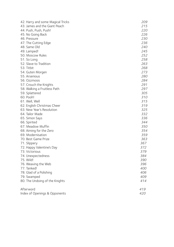| 42. Harry and some Magical Tricks | 209 |
|-----------------------------------|-----|
| 43. James and the Giant Peach     | 215 |
| 44. Push, Push, Push!             | 220 |
| 45. No Going Back                 | 226 |
| 46. Pressure                      | 230 |
| 47. The Cutting Edge              | 236 |
| 48. Same Old                      | 240 |
| 49. Lamped!                       | 245 |
| 50. Moscow Rules                  | 252 |
| 51. So Long                       | 258 |
| 52. Slave to Tradition            | 263 |
| 53. Titbit                        | 268 |
| 54. Guten Morgen                  | 273 |
| 55. Arsenious                     | 280 |
| 56. Ozzmosis                      | 284 |
| 57. Crouch the Knights            | 291 |
| 58. Walking a Fruitless Path      | 297 |
| 59. Splattered                    | 305 |
| 60. Pooh!                         | 310 |
| 61. Well, Well                    | 315 |
| 62. English Christmas Cheer       | 319 |
| 63. New Year's Resolution         | 325 |
| 64. Tailor Made                   | 332 |
| 65. Simon Says                    | 336 |
| 66. Spirited                      | 344 |
| 67. Meadow Muffin                 | 350 |
| 68. Aiming for the Zero           | 354 |
| 69. Modernisation                 | 359 |
| 70. Best Game Prize               | 363 |
| 71. Slippery                      | 367 |
| 72. Happy Valentine's Day         | 372 |
| 73. Victorious                    | 379 |
| 74. Unexpectedness                | 384 |
| 75. Wild!                         | 390 |
| 76. Weaving the Web               | 396 |
| 77. Tanked!                       | 400 |
| 78. Glad of a Polishing           | 406 |
| 79. Swamped                       | 409 |
| 80. The Undoing of the Knights    | 414 |
| Afterword                         | 419 |
| Index of Openings & Opponents     | 420 |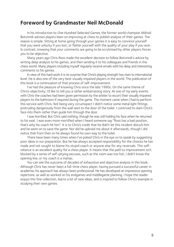# **Foreword by Grandmaster Neil McDonald**

In his introduction to One Hundred Selected Games, the former world champion Mikhail Botvinnik advises players keen on improving at chess to publish analysis of their games. The reason is simple. Sitting at home going through your games it is easy to convince yourself that you were unlucky if you lost, or flatter yourself with the quality of your play if you won. In contrast, knowing that your comments are going to be scrutinised by other players forces you to be objective.

 Many years ago Chris Ross made the excellent decision to follow Botvinnik's advice by writing deep analysis to his games, and then sending it to his colleagues and friends in the chess world. Many players including myself regularly receive emails with his deep and interesting comments to his games.

 In view of this hard work it is no surprise that Chris's playing strength has risen to international level. He is also one of the very best visually impaired players in the world. The publication of this book is a continuation of that process of self-improvement.

 I've had the pleasure of knowing Chris since the late 1990s. On the same theme of Chris's objectivity, I'd like to tell you a rather embarrassing story. At one of my early events with Chris the coaches had been given permission by the arbiter to escort their visually impaired players to the bathroom if required during the game. The moment came when I had to perform this service with Chris. Not being very circumspect I didn't notice some metal light fittings protruding dangerously from the wall next to the door of the toilet. I contrived to slam Chris's face into them rather than guide him through the door.

 I was horrified. But Chris said nothing, though he was still holding his face when he returned to his seat. I was even more mortified when I heard someone say "Ross has a bad position, that's why his coach hit him". It is to Chris's credit that he didn't let this incident disturb him and he went on to save the game. Nor did he upbraid me about it afterwards, though I did notice that from then on he always found his own way to the toilet.

 There have been many times when I've poked Chris in the eye so to speak by suggesting poor ideas in our preparation. But he has always accepted responsibility for the choices he has made and not sought to blame his stupid coach or anyone else for any reversals. This selfreliance is an excellent quality for a chess player. It means that the path to improvement isn't blocked by a series of self-pitying excuses, such as the room was too hot, I didn't know the opening line, or my coach is a maniac.

 You can see the outcome of decades of exhaustive and objective analysis in this book. Although Chris has never been a full-time chess player, having pursued a successful career in academia, his approach has always been professional. He has developed an impressive opening repertoire, as well as worked on his endgames and middlegame planning. I hope the reader enjoys this fine collection, learns a lot of new ideas, and is inspired to follow Chris's example in studying their own games.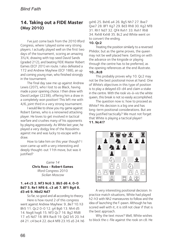# **14. Taking out a FIDE Master (May 2010)**

I've just come back from the 2010 Ilford Congress, where I played some very strong players. I actually played well on the first two days of the tournament, scoring an amazing 3½/4, drawing with top seed David Sands (graded 212), and beating FIDE Master Robert Eames (ECF 201) en route. I also defeated a 172 and Andrew Mayhew (ECF 188), an up and coming young man, who finished strongly in the tournament.

 The final day saw me up against Andrew Lewis (207), who I lost to as Black, having made a poor opening choice. I then drew with David Ledger (2238), offering him a draw in a completely won position! This left me with 4/6, joint third in a very strong tournament.

 I would like to show you my game against Robert Eames, who is a renowned attacking player. He loves to get involved in tactical warfare and crushes many of his opponents by playing aggressively. As White last year, he played a very dodgy line of the Rossolimo against me and was lucky to escape with a draw.

 How to take him on this year though? I soon came up with a very interesting and deeply thought-out 11th move, but was it justified?

> Game 14 **Chris Ross - Robert Eames** Ilford Congress 2010 Sicilian Moscow

## **1. e4 c5 2. Nf3 Nc6 3. Bb5 d6 4. 0-0 Bd7 5. Re1 Nf6 6. c3 a6 7. Bf1 Bg4 8. d3 e6 9. Nbd2 Nd7**

 So far, so good and all according to theory. Here is how round 2 of this congress went against Andrew Mayhew: 9...Be7 10. h3 Bh5 11. Qc2 0-0 12. g4 Bg6 13. Nh4 d5 14. Nxg6 hxg6 15. Nf3 Qc7 16. Bg2 Rfd8 17. e5 Nd7 18. Bf4 Rac8 19. Qd2 b5 20. h4 d4 21. c4 bxc4 22. dxc4 Nf8 23. h5 a5 24. h6 gxh6 25. Bxh6 a4 26. Bg5 Nh7 27. Bxe7 Qxe7 28. Bf1 Kg7 29. Bd3 Rh8 30. Kg2 Nf8 31. Rh1 Nd7 32. Qf4 Rxh1 33. Rxh1 Rh8 34. Rxh8 Kxh8 35. Bc2 and White went on to convert the ending.

## **10. Qc2**

 Treating the position similarly to a reversed Philidor, but as the game proves, the queen may not be well placed here. Getting on with the advance on the kingside or playing through the centre has to be preferred, as the opening references at the end illustrate.

## **10...Rc8**

 This probably proves why 10. Qc2 may not be the best positional move at hand. One of White's objectives in this type of position is to play a delayed d3-d4 and claim a stake in the centre. With the rook vis-à-vis the white queen, this break is not so easily accomplished.

 The question now is: how to proceed as White? His decision is a big one and has long-term positional considerations. But are they justified tactically? We must not forget that White is playing a tactical player! **11. Nc4!?**



 A very interesting positional decision. In practice match situations, White had played h2-h3 with Nh2 manoeuvres to follow and the idea of launching the f-pawn. Although he has scored well with it, it is still not clear if that is the best approach.

 Why the text move? Well, White wishes to block the c-file against the rook on c8. He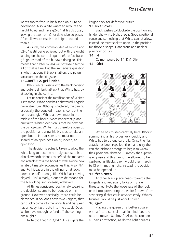wants too to free up his bishop on c1 to be developed. Also White wants to reroute the knight to e3 and have g2-g4 at his disposal, leaving the pawn on h2 for defensive purposes. After all, where else is the knight headed than e3?

 As such, the common idea of h2-h3 and g2-g4 is still being achieved, but with the knight landing on the central square e3 to facilitate g2-g4 instead of the h-pawn doing so. This means that a later h2-h4 will not lose a tempo. All of that is fine, but the immediate question is what happens if Black shatters the pawn structure on the kingside.

## **11...Bxf3 12. gxf3 Nde5**

 Black reacts classically to the flank decision and potential flank-attack that White has, by attacking in the centre.

 Let us consider the ramifications of White's 11th move. White now has a shattered kingside pawn structure. Although shattered, the pawns, especially the doubled f-pawns, control the centre and give White a pawn mass in the middle of the board. More importantly, and crucial to White's decision is that he now has the bishop-pair. White must therefore open up the position and allow his bishops to rake an open board. In that sense, he must not be scared of an open position or, indeed, an open king.

 The decision is actually taken to allow the white king to become horribly exposed, but also allow both bishops to defend the monarch and attack across the board as well. Notice how White ultimately accomplishes this. Also, Kh1 and Rg1 ideas are in the offing for attacks down the half-open g-file. With Black having played ...Rc8 already, a queenside escape for the black king isn't so easily achieved.

 All things considered, positionally speaking, the decision seems to be founded on firm ground. However, tactically, there could be blemishes. Black does have two knights, that can quickly come into the kingside and his queen has an easy, fast route into the attack. Does White have enough to fend off the coming onslaught?

Note too that 12...Qh4 13. Ne3 gets the

knight back for defensive duties.

## **13. Nxe5 dxe5**

 Black wishes to blockade the position and hinder the white bishop-pair. Good positional sense and something that White cannot allow. Instead, he must seek to open up the position for those bishops. Dangerous and unclear play now occurs.

## **14. f4**

Calmer would be 14. Kh1 Qh4.

## **14...Qh4**



 White has to step carefully here. Black is summoning all his forces very quickly and White has to defend carefully. Once the flash attack has been repelled, then, and only then, can the bishops emerge to begin to wreak their positional damage. Currently the f-pawn is en prise and this cannot be allowed to be captured as Black's pawn would then march to f3 with mating nets. Instead, the position must be opened up.

## **15. fxe5 Nxe5**

 Another black piece heads towards the kingside and yet again, forks on f3 are threatened. Note the looseness of the rook on e1 too, preventing the white f-pawn from advancing. If that could advance easily, White's troubles would be just about solved.

## **16. Qe2**

 Placing the queen on a better square, with a future central break in mind (see the note to move 10, above). Also, the rook on e1 gains protection, as do the light squares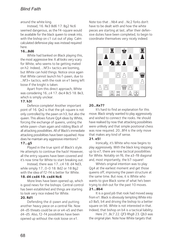around the white king.

 Instead, 16. Re3 Bd6 17. Bg2 Nc6 seemed dangerous, as the f4-square would be available for the black queen to sneak into, with the bishop on c1 cut out of play. Calm calculated defensive play was instead required here.

## **16...Bd6**

 White had banked on Black playing this, the most aggressive line. It all looks very scary for White, who seems to be getting mated on h2. Indeed, ...Nf3+ tactics are looming, but White can hold things. Notice once again that White cannot launch his f-pawn, due to ...Nf3+ tactics, with the rook on e1 being left loose if the knight is taken.

 Apart from this direct approach, White was considering 16...c4 17. dxc4 Bc5 18. Be3, which is simply unclear.

## **17. h3!**

 Defence complete! Another important point of 16. Qe2 is that the g4-square is not only controlled by the pawn on h3, but also the queen. This allows future Qg4 ideas by White, forcing the exchange of queens, uniting the white pawn-chain again and ridding Black of all attacking possibilities. All of Black's immediate attacking possibilities have been squashed. How does he maintain any aggressive intentions?

# **17...g5**

 Played in the true spirit of Black's style. He attempts to continue the hack! However, all the entry squares have been covered and it's now time for White to start breaking out.

 Instead, there was 17...c4 18. d4 Nd3, while simply 17...0-0 18. Bd2 or 18 Bg2 with the idea of f2-f4 is better for White.

## **18. d4 cxd4 19. cxd4 Nc6**

 More lines have been opened up, which is good news for the bishops. Central control has been established and things are starting to look very nice indeed for White.

## **20. Rd1**

Defending the d-pawn and putting another heavy piece on a central file. Now d4-d5 threats could be on or e4-e5 and then d4-d5. Also, f2-f4 possibilities have been opened up without the rook loose on e1.

Note too that ...Nb4 and ...Nc2 forks don't have to be dealt with and how the white pieces are starting at last, after their defensive duties have been completed, to begin to coordinate themselves very nicely indeed.



# **20...Ke7?**

 It's hard to find an explanation for this move. Black simply wanted to play aggressively and wished to connect the rooks. He should have realised by now that attacking possibilities were unlikely and that simple positional chess was now required. 20...Bf4 is the only move that makes any kind of sense.

## **21. e5!**

 Ironically, it's White who now begins to play aggressively. With the black king stepping up to e7, there are now tactical possibilities for White. Notably on f6, the a3-f8 diagonal and, most importantly, the b7-square!

 White's original intention was to play Qg4 at the earliest moment and get those queens off, improving the pawn structure at the same time. But now, it is White who wants to give Black some of what he's been trying to dish out for the past 10 moves. **21...Bb4**

 It is a good job that rook had moved away from e1. Black is obviously tempting White into a3 Ba5; b4 and driving the bishop to a better square on b6. White is not interested in that. Indeed, that bishop on b4 is a tactical liability.

 Here 21...Bc7 22. Qf3 Rhg8 23. Qb3 was the original plan. Note how White targets that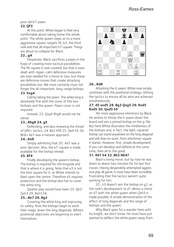poor old b7-pawn.

# **22. Qf3**

 At this point, White began to feel very comfortable about taking home the whole point. The white queen steps on to a more aggressive square, targets f6, b3, the third rank and that all-important b7-square. Things are about to collapse for Black.

# **22...g4**

Desperate. Black sacrifices a pawn in the hope of creating more tactical possibilities. The f6-square is now covered, but that is soon dealt with. Again, calm defensive measures are now needed for a move or two, but these are defensive moves that create attacking possibilities too. We most certainly must not forget the all-important, long-range bishops.

# **23. hxg4**

 Calmly taking the pawn. The white king is absolutely fine with the cover of the two bishops and the queen. Pawn cover is not required.

 Instead, 23. Qxg4 Rhg8 would not be clever.

# **23...Rhg8 24. g5**

 Defending, and also renewing the threat of Qf6+ tactics. 24. Be2 Kf8 25. Qe4 h5 26. Bh6+ Ke7 was a messier approach.

# **24...Ke8**

 Simply admitting that 20...Ke7 was a poor decision. Also, the e7-square is made available for the bishop retreat.

# **25. Bf4**

 Finally developing the queen's bishop. The bishop is required for the kingside and that is where it is going. Note that e3 is not the best square for it, as White intends to blast open the centre. Therefore e5 requires protection and the bishop also has to cover the white king.

 Quieter play would have been 25. Qh3 Qxh3 26. Bxh3 h6.

# **25...Be7 26. Bg2**

Covering the white king and improving its safety. Now the bishops begin to work their magic down the long diagonals. White's positional objectives are beginning to exert themselves.



# **26...Rd8**

 Attacking the d-pawn. White now simply continues with the positional strategy, refining the tactics to ensure all his aims are achieved simultaneously.

# **27. d5 exd5 28. Bg3 Qxg5 29. Rxd5 Rxd5 30. Qxd5 h5**

 Yet more aggressive intentions by Black. He wishes to throw the h-pawn down the board and win a pinned bishop on the g-file. But here White illustrates the nimbleness of the bishops and, in fact, the light-squared bishop can stand anywhere on the long diagonal and still does its work, from whichever square it stands. However, first, simple development. If you can develop and defend at the same time, then all to the good.

# **31. Rd1 h4 32. Bh2 Nb4?**

 Black's losing move, but by now he was down to about two minutes for his last four moves. Having desperately attempted aggressive play all game, it must have been incredibly frustrating that the tactics weren't quite working for him.

 32...h3 doesn't win the bishop on g2, as the rook's development to d1 allows a check on d7 with the white queen when Qxh3 is made possible. A simple demonstration of the effect of long diagonals and the range of bishops and the queen.

 Why Black goes for a wander here with his knight, we don't know. He must have just wanted to deflect the white queen away from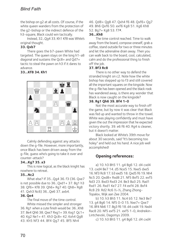the bishop on g2 at all costs. Of course, if the white queen wanders from the protection of the g2-bishop or the indirect defence of the h3-square, Black could win tactically.

 Instead, 32...Qg4 33. Kh1 Kf8 was White's original thought.

# **33. Qxb7**

 There goes the b7-pawn White had targeted. The queen stays on the long h1-a8 diagonal and sustains the Qc8+ and Qd7+ tactic to steal the pawn on h3 if it dares to advance.

# **33...Kf8 34. Kh1**



 Calmly defending against any attacks down the g-file. However, more importantly, once Black has been driven away from the g-file, guess who's going to take it over and counter-attack?

# **34...Kg7 35. a3**

This is now logical, as the black knight has nowhere to retreat.

## **35...Nc2**

 What else? If 35...Qg4 36. f3 (36. Qxe7 is not possible due to 36...Qxd1+ 37. Bg1 h3 38. Qf6+ Kf8 39. Qh6+ Rg7 40. Qh8+ Rg8 41. Qxh3 Nc6) 36...Qe6 37. axb4.

## **36. Qe4**

 The final move of the time control. White missed the simpler and stronger 36. Rg1 when a cute finish would be: 36...Kh8 37. Be4 Qh6 38. Qxe7 Rxg1+ 39. Kxg1 Qc1+ 40. Kg2 Ne1+ 41. Kh3 Qc8+ 42. Kxh4 Qg8 43. Kh5 Nf3 44. Bf4 Qg7 45. Bf5 Nh4

- 46. Qd8+ Qg8 47. Qxh4 f6 48. Qxf6+ Qg7
- 49. Bh6 Qxf6 50. exf6 Kg8 51. Kg6 Kh8
- 52. Bg7+ Kg8 53. f7#.

# **36...Kh8**

 The time control reached. Time to walk away from the board, compose oneself, grab a coffee, stand outside for two or three minutes and let the adrenaline drain away. Then you can walk back to the board, cool, calculated, calm and do the professional thing to finish off the job.

## **37. Bf3 Rc8**

 There is no other way to defend the stranded knight on c2. Note how the white bishop has stepped up to f3 and still covered all the important squares on the kingside. Now the g-file has been opened and the black rook has wandered away, is there any wonder that Black is now caught on the kingside?

## **38. Rg1 Qh6 39. Bf4 1-0**

 Not the most accurate way to finish off the game, but by now it was clear that Black was fed up and wanted to throw in the towel. White was playing confidently and must have given the out the impression that he expected victory shortly, 39, e6 f6 40. Rg4 is cleaner, but it doesn't matter.

 Black looked at White's 39th move for about 30 seconds, said "It's becoming too holey" and held out his hand. A nice job well accomplished!

# **Opening references:**

 a) 10. h3 Bh5 11. g4 Bg6 12. d4 cxd4 13. cxd4 Be7 14. d5 Nce5 15. Nxe5 dxe5 16. Nf3 Rc8 17. b3 exd5 18. Qxd5 f6 19. Nh4 Nc5 20. Qxd8+ Rxd8 21. Nf5 Bxf5 22. exf5 Nd3 23. Bxd3 Rxd3 24. Be3 Ba3 25. Rad1 Rxd1 26. Rxd1 Ke7 27. f4 exf4 28. Bxf4 Rc8 29. Rd2 Rc6 ½-½, Zhang Zhong-Topalov, Wijk aan Zee 2004.

 b) 10. h3 Bh5 11. Nc4 b5 12. Ne3 Be7 13. g4 Bg6 14. Nf5 0-0 15. Nxe7+ Qxe7 16. Bf4 Nb6 17. Bg3 f6 18. d4 cxd4 19. Nxd4 Rac8 20. Nf5 exf5 21. exf5 1-0, Andreikin-Lintchevski, Dagomys 2009.

c) 10. h3 Bh5 11. g4 Bg6 12. d4 cxd4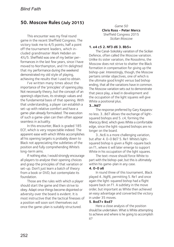# **50. Moscow Rules (July 2015)**

This encounter was my final round game in the recent Sheffield Congress. The victory took me to 4/5 points, half a point off the tournament leaders, which included grandmaster Mark Hebden on 4½/5. Sheffield was one of my better performances in the last few years, since I have moved to Northampton, and I'm delighted that my performance during the weekend demonstrated my old style of playing, achieving the results that I used to obtain.

 I've written many times about the importance of the 'principles' of opening play. Not necessarily theory, but the concept of an opening's objectives, its strategic values and the fundamental basis of that opening. With that understanding, a player can establish a set-up with relative comfort and have a game-plan already formulated. The execution of such a game-plan can then often appear seamless in actuality.

 In this encounter, Black is graded 185 ECF, which is very respectable indeed. The apparent ease with which White accomplishes all his opening targets is probably down to Black not appreciating the subtleties of the position and fully comprehending White's long-term aims.

 If nothing else, I would strongly encourage all players to analyse their opening choices and grasp the principles of that variation or set-up. Don't just learn a batch of theory from a book or DVD, but contemplate its foundation.

 Those are the rules with which a player should start the game and then strive to obey. Adapt once things become disjointed or adversity over the board is evident. It is most instructive that the tactical finesses of a position will soon sort themselves out once the game-plan is suitably structured.

Game 50 **Chris Ross - Peter Mercs** Sheffield Congress 2015 Sicilian Moscow

## **1. e4 c5 2. Nf3 d6 3. Bb5+**

The Canal-Sokolsky variation of the Sicilian Defence, often called the Moscow variation. Unlike its sister variation, the Rossolimo, the Moscow does not strive to shatter the Black formation in compensation for giving up the bishop-pair. Interestingly, though, the Moscow pertains similar objectives, one of which is the ultimate good knight versus bad bishop ending, that all the variations have in common. The Moscow variation sets out to demonstrate that piece play, a lead in development and the occupation of the light squares will give White a positional plus.

#### **3...Nd7**

The response preferred by Gary Kasparov no less. 3...Bd7 allows the exchange of lightsquared bishops and 5. c4, forming the Maroczy Bind, which gives White a comfortable edge, since the light-squared bishops are no longer on the board.

 3...Nc6 is a more challenging variation, but after 4. 0-0 Bd7 5. Re1 White's lightsquared bishop is given a flight-square back on f1, where it will later emerge to support White in his occupation of the light squares.

 The text-move should force White to part with the bishop-pair, but this is ultimately within his game-plan in any case.

## **4. 0-0 a6**

In round three of this tournament, Black played 4...Ngf6, permitting 5. Re1 and once again the light-squared bishop had a flight square back on f1. A subtlety in the move order, but important as White then achieved an easy advantage and converted the victory in under 35 moves.

## **5. Bxd7+ Bxd7**

 Here a close analysis of the position should be undertaken. What is White attempting to achieve and where is he going to accomplish it?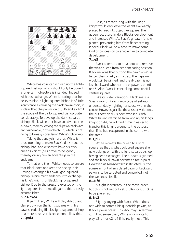

 White has voluntarily given up the lightsquared bishop, which should only be done if a long-term objective is intended. Indeed, with this exchange, White is stating that he believes Black's light-squared bishop is of little significance. Examining the black pawn-chain, it is clear that the pawns on c5, d6 and e7 limit the scope of the dark-squared bishop quite considerably. To develop the dark-squared bishop, Black will either have to advance the e-pawn, thereby leaving the d-pawn backward and vulnerable, or fianchetto it, which is not going to be easy considering White's follow-up.

 Taking that analysis further, White is thus intending to make Black's dark-squared bishop 'bad' and wishes to have his own queen's knight (b1) prove to be 'good', thereby giving him an advantage in the endgame.

 To that end then, White needs to ensure that Black does not keep the bishop-pair. Having exchanged his own light-squared bishop, White must endeavour to exchange his king's knight for Black's light-squared bishop. Due to the pressure exerted on the light squares in the middlegame, this is easily accomplished.

#### **6. d4 cxd4**

If permitted, White will play d4-d5 and clamp down on the light squares with his pawns, reducing Black's light-squared bishop to a mere observer. Black cannot allow this.

**7. Qxd4**

Best, as recapturing with the king's knight would only leave the knight awkwardly placed to reach its objective square. The queen recapture hinders Black's development and increases White's. Black's g-pawn is now pinned, preventing him from fianchettoing. Indeed, Black will now have to make some kind of concession to enable him to complete development.

## **7...e5**

Black attempts to break out and remove the white queen from her dominating position. Black reckons that putting the pawn on e5 is better than on e6, as if 7...e6, the g-pawn would still be pinned, and the d-pawn is no less backward whether the e-pawn is on e6 or e5. Also, Black is controlling some useful central squares.

 Like its sister variations, Black seeks a Sveshnikov or Kalashnikov type of set-up, understandably fighting for space within the centre. However, just like these sister variations, the outpost on d5 is now exposed. With White having refrained from landing his king's knight on d4, he will find it much easier to transfer this knight around to the outpost than if he had recaptured in the centre with the steed.

## **8. Qd3**

White retreats the queen to a light square, as that is what coloured square she now belongs on, with the light-squared bishop having been exchanged. The e-pawn is guarded and the black d-pawn becomes a focus point. However, as Nimzowitsch instructed us, the square in front of an isolated pawn or backward pawn is to be targeted and controlled, not the weakness itself.

#### **8...Nf6**

A slight inaccuracy in the move order, but this is not yet critical. 8...Be7 or 8...Bc6 is to be preferred.

## **9. Nc3**

Slightly toying with Black. White does not wish to commit his queenside pawns, as Black's pawn break, ...b7-b5, may undermine it. In that sense then, White only wants to play a2-a4 or c2-c4 if he really must. This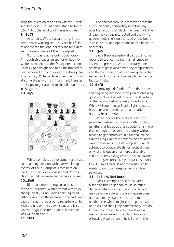begs the question then as to whether Black should flick in ...Bb5 at some stage to force c2-c4, but the validity of this is not clear. **9...Be7?**

After this, White has a strong, if not positionally winning set-up. Black has failed to appreciate the long-term plans for White and the seriousness of the d5 outpost.

 9...h6 was Black's only good option. Although this leaves an anchor or hook for White to exploit and the f5-square beckons, Black's king's knight had to be maintained to keep any kind of control over the d5-square. After 9...h6, White can lever open the position at some stage with f2-f4 or simply transfer the king's knight around to the d5-square, as in the game.

# **10. Bg5**



 White completes development and has a commanding position with overwhelming control of the d5 outpost. From here on, Black never achieves equality and White's play is natural, simple and extremely efficient. **10...Be6**

Black attempts to regain some control of the d5 outpost. White's threat was to exchange on f6, luring Black's dark-squared bishop away from the defence of the backward pawn. If Black is required to recapture on f6 with the g-pawn, his pawn structure is so devastatingly fractured that an inevitable loss will soon occur.

## **11. Rfd1**

The correct rook. It is removed from the a6-f1 diagonal, completely negating any possible tactics that Black may dream of. The d-pawn is yet again targeted and the white queen's rook is left on that side of the board in case a2-a4 and operations on the flank are necessary.

## **11...Qa5**

Since Black is positionally struggling, he resorts to tactical means in an attempt to lessen the pressure. White, naturally, does not have to get involved with any complications and the continuation of his game-plan is the easiest and most effective way to refute the tactical tricks.

# **12. Bxf6**

Removing a defender of the d5 outpost and beginning that long-term plan of obtaining good knight versus bad bishop. The departure of the second bishop is insignificant since White will soon regain Black's light-squared bishop or win material as an alternative.

## **12...Bxf6 13. Nd2**

 White ignores the tactical offer of a pawn and, instead, continues with his plan, mindful that his positional superiority is more than enough to convert the victory without having to get embroiled in a tactical melee. White's king's knight is transferred around to exert pressure on the d5 outpost. Black's attempt to complicate things tactically has only left his queen on a more vulnerable square, thereby aiding White in his endeavours.

 13. Qxd6 Rd8 14. Qa3 Qxa3 15. Rxd8+ Ke7 16. bxa3 Rxd8 is not the route White wants to go down, despite being a clear pawn up.

# **13...Rd8 14. Nc4 Bxc4**

Black exchanges his light-squared bishop as this knight can cause so much damage otherwise. Tactically, the d-pawn may be vulnerable as the black queen does not have many squares to escape to. If needed, the white knight can step backwards on to e3 and then jump satisfactorily into d5. Either way, the white knights will lead a merry dance around the black forces and effectively split them in half. So, with the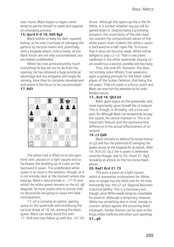text-move, Black hopes to regain some tempi to permit himself to castle and organise an untangling process.

## **15. Qxc4 0-0 16. Nd5 Bg5**

Black wishes to keep his dark-squared bishop, as his only true hope of salvaging the game is by tactical means and, potentially, with a kingside attack. Instructively, all the black forces are not only uncoordinated, but are indeed undefended.

 White has now achieved pretty much everything he has set out to do from the opening. He has obtained a huge positional advantage and any endgame will simply be winning. How then to complete development and where is the focus to be concentrated? **17. Rd3**



 The white rook is lifted on to the open third rank, placed on a light square and so facilitates the doubling up of rooks on the backward d-pawn. The undefended white queen is an issue in the position, though, as it is not entirely clear at the moment where she belongs. Black's natural break is ....f7-f5 and whilst the white queen remains on the a2-g8 diagonal, he must waste time to ensure that no discoveries are going to cause him fatal consequences.

 17. a4 is certainly an option, gaining space on the queenside and introducing the tactical threat of 18. b4, winning the black queen. Black can easily avoid this with 17...Rc8 and may follow up with the ...b7-b5 thrust. Although this opens up the a-file for White, it is unclear whether any joy will be gained down it. Despite being a promising prospect, the uncertainty of the plan does not warrant the compromised nature of the white pawn-chain. Indeed, the white c-pawn is backward on a half-open file. To ensure that it does not become weak, White will be obliged to play c2-c3. That is one pawn weakness in the white queenside; playing a2 a4 would incur a second, possibly one too many.

 Thus, the rook lift. However, this does not entirely solve White's 'true' weakness, again a guiding principle for the black-sided player of the Sicilian Defence, that being the e4-pawn. That e4-pawn is a focus-point and Black can now turn his attention to its undefended nature.

## **17...Rc8 18. Qb3 b5**

Black gains space on the queenside, and, more importantly, gives himself the c4 outpost. This is, though, in all reality, not a true outpost, for although Black can temporarily occupy the square, he cannot maintain in. This is an important feature and the quintessential difference in the actual effectiveness of an outpost.

## **19. c3 Qd8**

Black retreats to defend his loose bishop on g5 and has the potential of swinging the queen across to the kingside for an attack. After 19...Rc4 20. Qc2 the e-pawn is defended covertly though, due to 20...Rxe4 21. Rg3, revealing an attack on the two loose black pieces.

## **20. Rad1 Rc4 21. f3**

This puts a pawn on a light square, which is somewhat inconvenient for White. who no longer has the third rank for his rook. Awkwardly too, the a7-g1 diagonal becomes a tactical liability. This is a necessary evil, though, since White needs tempi to consolidate his position. Although a temporary measure, White has something else in mind, namely to counter-attack against the oncoming black onslaught. Similar themes can be seen in the King's Indian Defence and other such openings.

## **21...g6**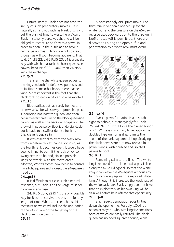# *Blind Faith*

 Unfortunately, Black does not have the luxury of such preparatory moves. He is naturally striking out with his break of ...f7-f5, but there is not time to waste here. Again, Black mistakenly perceives that he will be obliged to recapture on f5 with a pawn, in order to open up the g-file and to have a central pawn mass. Things are not so clear, though. as will soon become apparent. That said, 21...f5 22. exf5 Rxf5 23. a4 is a sneaky way with which to attack the black queenside pawns, because if 23...Rxa4? then 24 Nb6+ wins the exchange.

## **22. Qc2**

Transferring the white queen across to the kingside, both for defensive purposes and to facilitate some other heavy-piece manoeuvring. More important is the fact that the black rook posted on c4 can now be evicted. **22...f5**

Black strikes out, as surely he must, for otherwise White will slowly improve his piece superiority, not least the queen, and then begin to exert pressure on the black queenside pawns, as well as the backward d-pawn. The show of impatience by Black is understandable, but it leads to a swifter demise for him.

## **23. b3 Rc8 24. exf5**

It was essential to evict the black rook from c4 before this exchange occurred, as the fourth rank becomes open. It would have been criminal to permit the rook on c4 to swing across to h4 and join in a possible kingside attack. With the move order adopted, White's forces now begin to control more light squares and, indeed, the e4-square is freed up.

#### **24...gxf5**

It is difficult to criticise such a natural response, but Black is on the verge of sheer collapse in any case.

 24...Rxf5 25. Qe2 Rf7 is the only possible way for Black to survive the position for any length of time. White can then choose his continuation which will include the occupation of the e4-square or the targeting of the black queenside pawns.

 A devastatingly disruptive move. The third rank is yet again opened up for the white rook and the pressure on the e5-pawn reverberates backwards on to the d-pawn. If fxe5 and ...dxe5 is permitted, there are discoveries along the open d-file and penetration by a white rook must occur.



## **25...exf4**

Black's pawn formation is a miserable sight to behold, but annoyingly for Black, 25...e4 26. Rg3 would lose the pinned bishop on g5. White is in no hurry to recapture the doubled f-pawn, for as it is, it limits the scope of the dark-squared bishop. Studying the black pawn structure now reveals four pawn islands, with doubled and isolated pawns to boot.

#### **26. Kh1**

Remaining calm to the finish. The white king is removed from all the tactical possibilities along the a7-g1 diagonal, so that the white knight can leave the d5-square without any tactics occurring against the exposed white king. Although this increases the weakness of the white back rank, Black simply does not have time to exploit this, as his own king will be slain well before he is offered that opportunity.

# **26...Qe8**

 Black seeks penetration possibilities down the open e-file. Possibly ...Qe4 is an option or maybe ...Qh5 with kingside ambitions, both of which are easily refuted. The black queen has no good squares though, while

#### **25. f4**